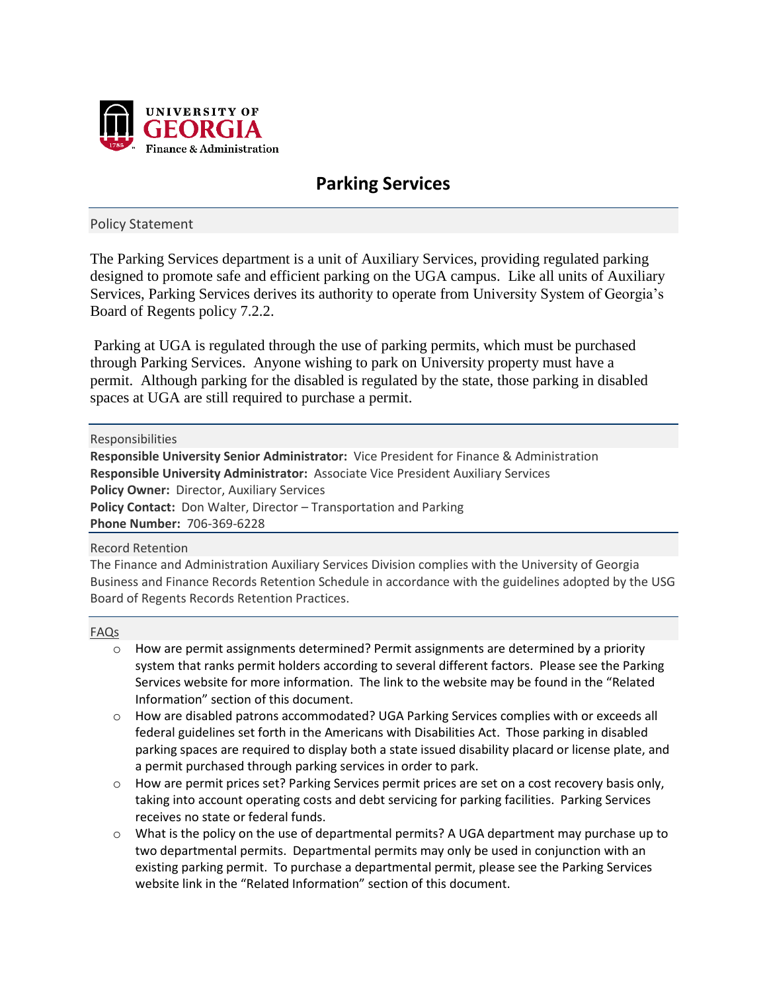

# **Parking Services**

# Policy Statement

The Parking Services department is a unit of Auxiliary Services, providing regulated parking designed to promote safe and efficient parking on the UGA campus. Like all units of Auxiliary Services, Parking Services derives its authority to operate from University System of Georgia's Board of Regents policy 7.2.2.

Parking at UGA is regulated through the use of parking permits, which must be purchased through Parking Services. Anyone wishing to park on University property must have a permit. Although parking for the disabled is regulated by the state, those parking in disabled spaces at UGA are still required to purchase a permit.

#### Responsibilities

**Responsible University Senior Administrator:** Vice President for Finance & Administration **Responsible University Administrator:** Associate Vice President Auxiliary Services **Policy Owner:** Director, Auxiliary Services Policy Contact: Don Walter, Director - Transportation and Parking **Phone Number:** 706-369-6228

## Record Retention

The Finance and Administration Auxiliary Services Division complies with the University of Georgia Business and Finance Records Retention Schedule in accordance with the guidelines adopted by the USG Board of Regents Records Retention Practices.

## FAQs

- o How are permit assignments determined? Permit assignments are determined by a priority system that ranks permit holders according to several different factors. Please see the Parking Services website for more information. The link to the website may be found in the "Related Information" section of this document.
- o How are disabled patrons accommodated? UGA Parking Services complies with or exceeds all federal guidelines set forth in the Americans with Disabilities Act. Those parking in disabled parking spaces are required to display both a state issued disability placard or license plate, and a permit purchased through parking services in order to park.
- o How are permit prices set? Parking Services permit prices are set on a cost recovery basis only, taking into account operating costs and debt servicing for parking facilities. Parking Services receives no state or federal funds.
- $\circ$  What is the policy on the use of departmental permits? A UGA department may purchase up to two departmental permits. Departmental permits may only be used in conjunction with an existing parking permit. To purchase a departmental permit, please see the Parking Services website link in the "Related Information" section of this document.